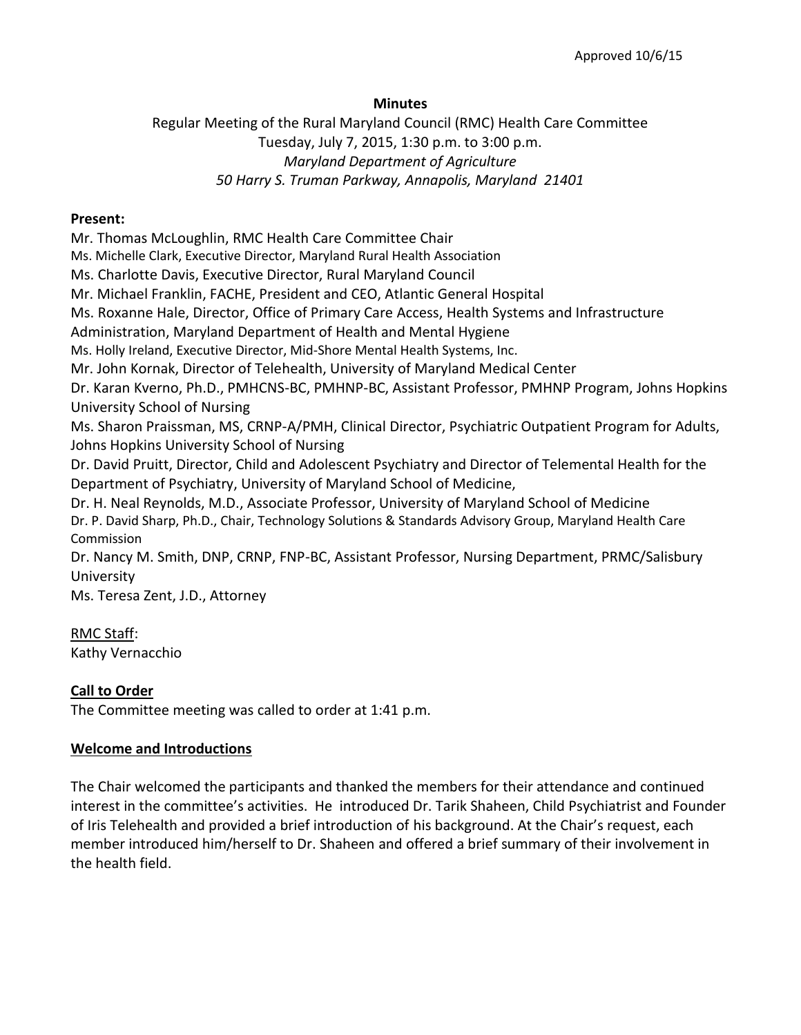### **Minutes**

Regular Meeting of the Rural Maryland Council (RMC) Health Care Committee Tuesday, July 7, 2015, 1:30 p.m. to 3:00 p.m. *Maryland Department of Agriculture 50 Harry S. Truman Parkway, Annapolis, Maryland 21401*

#### **Present:**

Mr. Thomas McLoughlin, RMC Health Care Committee Chair Ms. Michelle Clark, Executive Director, Maryland Rural Health Association Ms. Charlotte Davis, Executive Director, Rural Maryland Council Mr. Michael Franklin, FACHE, President and CEO, Atlantic General Hospital Ms. Roxanne Hale, Director, Office of Primary Care Access, Health Systems and Infrastructure Administration, Maryland Department of Health and Mental Hygiene Ms. Holly Ireland, Executive Director, Mid-Shore Mental Health Systems, Inc. Mr. John Kornak, Director of Telehealth, University of Maryland Medical Center Dr. Karan Kverno, Ph.D., PMHCNS-BC, PMHNP-BC, Assistant Professor, PMHNP Program, Johns Hopkins University School of Nursing Ms. Sharon Praissman, MS, CRNP-A/PMH, Clinical Director, Psychiatric Outpatient Program for Adults, Johns Hopkins University School of Nursing Dr. David Pruitt, Director, Child and Adolescent Psychiatry and Director of Telemental Health for the Department of Psychiatry, University of Maryland School of Medicine, Dr. H. Neal Reynolds, M.D., Associate Professor, University of Maryland School of Medicine Dr. P. David Sharp, Ph.D., Chair, Technology Solutions & Standards Advisory Group, Maryland Health Care Commission Dr. Nancy M. Smith, DNP, CRNP, FNP-BC, Assistant Professor, Nursing Department, PRMC/Salisbury University Ms. Teresa Zent, J.D., Attorney

RMC Staff: Kathy Vernacchio

## **Call to Order**

The Committee meeting was called to order at 1:41 p.m.

#### **Welcome and Introductions**

The Chair welcomed the participants and thanked the members for their attendance and continued interest in the committee's activities. He introduced Dr. Tarik Shaheen, Child Psychiatrist and Founder of Iris Telehealth and provided a brief introduction of his background. At the Chair's request, each member introduced him/herself to Dr. Shaheen and offered a brief summary of their involvement in the health field.